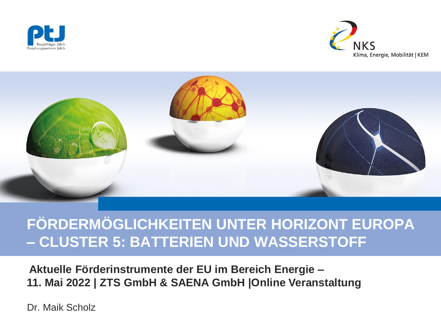





# **FÖRDERMÖGLICHKEITEN UNTER HORIZONT EUROPA – CLUSTER 5: BATTERIEN UND WASSERSTOFF**

**Aktuelle Förderinstrumente der EU im Bereich Energie – 11. Mai 2022 | ZTS GmbH & SAENA GmbH |Online Veranstaltung**

Dr. Maik Scholz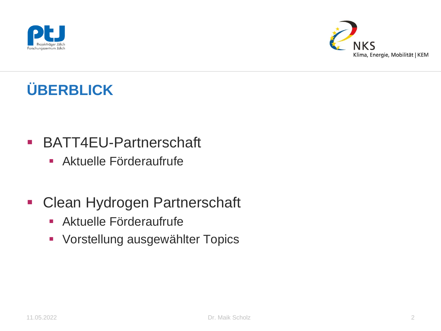



# **ÜBERBLICK**

- **BATT4EU-Partnerschaft** 
	- Aktuelle Förderaufrufe
- **Clean Hydrogen Partnerschaft** 
	- Aktuelle Förderaufrufe
	- **Vorstellung ausgewählter Topics**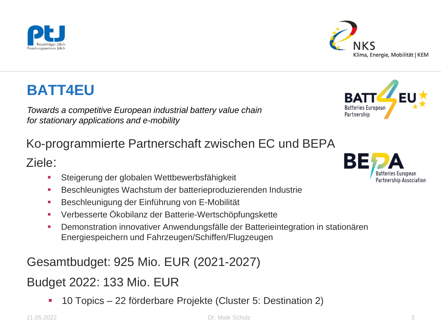11.05.2022 Dr. Maik Scholz 3

### Gesamtbudget: 925 Mio. EUR (2021-2027)

### Budget 2022: 133 Mio. EUR

10 Topics – 22 förderbare Projekte (Cluster 5: Destination 2)

# **BATT4EU**

*Towards a competitive European industrial battery value chain for stationary applications and e-mobility*

### Ko-programmierte Partnerschaft zwischen EC und BEPA

#### Ziele:

- Steigerung der globalen Wettbewerbsfähigkeit
- Beschleunigtes Wachstum der batterieproduzierenden Industrie
- Beschleunigung der Einführung von E-Mobilität
- Verbesserte Ökobilanz der Batterie-Wertschöpfungskette
- Demonstration innovativer Anwendungsfälle der Batterieintegration in stationären Energiespeichern und Fahrzeugen/Schiffen/Flugzeugen



Partnership Association

Batteries European Partnership



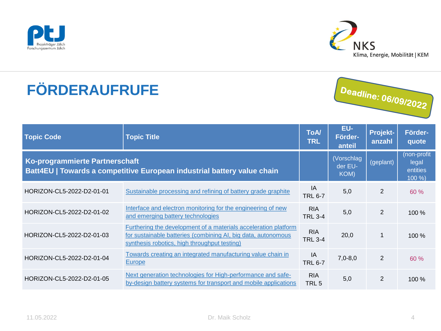



# **FÖRDERAUFRUFE**



| <b>Topic Code</b>                                                                                         | <b>Topic Title</b>                                                                                                                                                               | <b>ToA</b><br><b>TRL</b>       | EU-<br>Förder-<br>anteil      | Projekt-<br>anzahl | Förder-<br>quote                            |
|-----------------------------------------------------------------------------------------------------------|----------------------------------------------------------------------------------------------------------------------------------------------------------------------------------|--------------------------------|-------------------------------|--------------------|---------------------------------------------|
| Ko-programmierte Partnerschaft<br>Batt4EU   Towards a competitive European industrial battery value chain |                                                                                                                                                                                  |                                | (Vorschlag<br>der EU-<br>KOM) | (geplant)          | (non-profit<br>legal<br>entities<br>$100\%$ |
| HORIZON-CL5-2022-D2-01-01                                                                                 | Sustainable processing and refining of battery grade graphite                                                                                                                    | IA<br><b>TRL 6-7</b>           | 5,0                           | $\overline{2}$     | 60 %                                        |
| HORIZON-CL5-2022-D2-01-02                                                                                 | Interface and electron monitoring for the engineering of new<br>and emerging battery technologies                                                                                | <b>RIA</b><br><b>TRL 3-4</b>   | 5,0                           | $\overline{2}$     | 100 %                                       |
| HORIZON-CL5-2022-D2-01-03                                                                                 | Furthering the development of a materials acceleration platform<br>for sustainable batteries (combining AI, big data, autonomous<br>synthesis robotics, high throughput testing) | <b>RIA</b><br><b>TRL 3-4</b>   | 20,0                          | $\mathbf 1$        | 100 %                                       |
| HORIZON-CL5-2022-D2-01-04                                                                                 | Towards creating an integrated manufacturing value chain in<br>Europe                                                                                                            | IA<br><b>TRL 6-7</b>           | $7,0-8,0$                     | $\overline{2}$     | 60 %                                        |
| HORIZON-CL5-2022-D2-01-05                                                                                 | Next generation technologies for High-performance and safe-<br>by-design battery systems for transport and mobile applications                                                   | <b>RIA</b><br>TRL <sub>5</sub> | 5,0                           | $\overline{2}$     | 100 %                                       |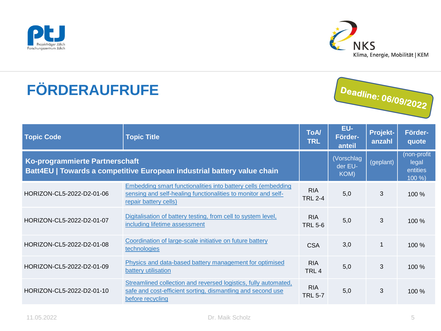



# **FÖRDERAUFRUFE**



| <b>Topic Code</b>                                                                                         | <b>Topic Title</b>                                                                                                                                      | <b>ToA/</b><br><b>TRL</b>    | EU-<br>Förder-<br>anteil      | Projekt-<br>anzahl | Förder-<br>quote                           |
|-----------------------------------------------------------------------------------------------------------|---------------------------------------------------------------------------------------------------------------------------------------------------------|------------------------------|-------------------------------|--------------------|--------------------------------------------|
| Ko-programmierte Partnerschaft<br>Batt4EU   Towards a competitive European industrial battery value chain |                                                                                                                                                         |                              | (Vorschlag<br>der EU-<br>KOM) | (geplant)          | (non-profit<br>legal<br>entities<br>100 %) |
| HORIZON-CL5-2022-D2-01-06                                                                                 | Embedding smart functionalities into battery cells (embedding<br>sensing and self-healing functionalities to monitor and self-<br>repair battery cells) | <b>RIA</b><br><b>TRL 2-4</b> | 5,0                           | 3                  | 100 %                                      |
| HORIZON-CL5-2022-D2-01-07                                                                                 | Digitalisation of battery testing, from cell to system level,<br>including lifetime assessment                                                          | <b>RIA</b><br><b>TRL 5-6</b> | 5,0                           | 3                  | 100%                                       |
| HORIZON-CL5-2022-D2-01-08                                                                                 | Coordination of large-scale initiative on future battery<br>technologies                                                                                | <b>CSA</b>                   | 3,0                           | 1                  | 100 %                                      |
| HORIZON-CL5-2022-D2-01-09                                                                                 | Physics and data-based battery management for optimised<br>battery utilisation                                                                          | <b>RIA</b><br>TRL 4          | 5,0                           | 3                  | 100 %                                      |
| HORIZON-CL5-2022-D2-01-10                                                                                 | Streamlined collection and reversed logistics, fully automated,<br>safe and cost-efficient sorting, dismantling and second use<br>before recycling      | <b>RIA</b><br><b>TRL 5-7</b> | 5,0                           | 3                  | 100%                                       |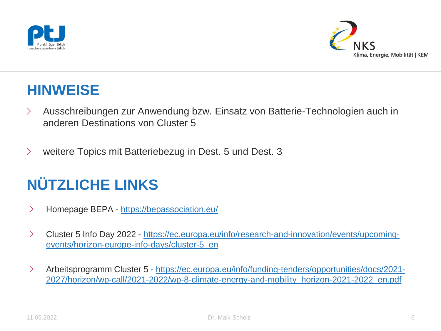



### **HINWEISE**

- › Ausschreibungen zur Anwendung bzw. Einsatz von Batterie-Technologien auch in anderen Destinations von Cluster 5
- › weitere Topics mit Batteriebezug in Dest. 5 und Dest. 3

# **NÜTZLICHE LINKS**

- › Homepage BEPA <https://bepassociation.eu/>
- › Cluster 5 Info Day 2022 [https://ec.europa.eu/info/research-and-innovation/events/upcoming](https://ec.europa.eu/info/research-and-innovation/events/upcoming-events/horizon-europe-info-days/cluster-5_en)events/horizon-europe-info-days/cluster-5\_en
- › Arbeitsprogramm Cluster 5 https://ec.europa.eu/info/funding-tenders/opportunities/docs/2021- [2027/horizon/wp-call/2021-2022/wp-8-climate-energy-and-mobility\\_horizon-2021-2022\\_en.pdf](https://ec.europa.eu/info/funding-tenders/opportunities/docs/2021-2027/horizon/wp-call/2021-2022/wp-8-climate-energy-and-mobility_horizon-2021-2022_en.pdf)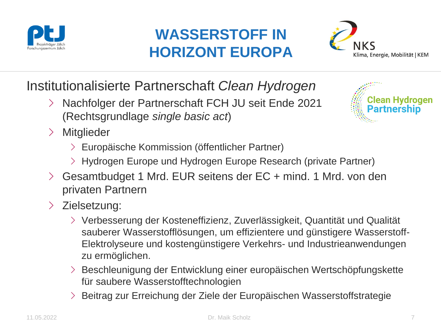

# **WASSERSTOFF IN HORIZONT EUROPA**



Institutionalisierte Partnerschaft *Clean Hydrogen*

- › Nachfolger der Partnerschaft FCH JU seit Ende 2021 (Rechtsgrundlage *single basic act*)
- › Mitglieder
	- › Europäische Kommission (öffentlicher Partner)
	- › Hydrogen Europe und Hydrogen Europe Research (private Partner)
- › Gesamtbudget 1 Mrd. EUR seitens der EC + mind. 1 Mrd. von den privaten Partnern
- › Zielsetzung:
	- › Verbesserung der Kosteneffizienz, Zuverlässigkeit, Quantität und Qualität sauberer Wasserstofflösungen, um effizientere und günstigere Wasserstoff-Elektrolyseure und kostengünstigere Verkehrs- und Industrieanwendungen zu ermöglichen.
	- › Beschleunigung der Entwicklung einer europäischen Wertschöpfungskette für saubere Wasserstofftechnologien
	- › Beitrag zur Erreichung der Ziele der Europäischen Wasserstoffstrategie

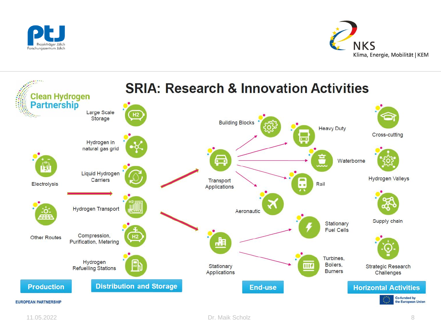



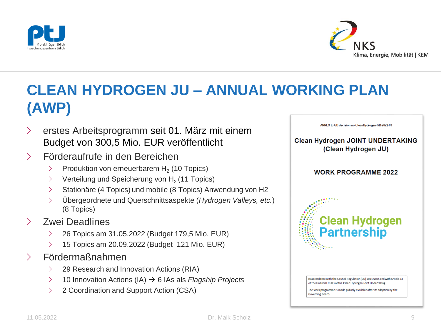



# **CLEAN HYDROGEN JU – ANNUAL WORKING PLAN (AWP)**

- › erstes Arbeitsprogramm seit 01. März mit einem Budget von 300,5 Mio. EUR veröffentlicht
- › Förderaufrufe in den Bereichen
	- > Produktion von erneuerbarem H<sub>2</sub> (10 Topics)
	- $\angle$  Verteilung und Speicherung von H<sub>2</sub> (11 Topics)
	- Stationäre (4 Topics) und mobile (8 Topics) Anwendung von H2
	- › Übergeordnete und Querschnittsaspekte (*Hydrogen Valleys, etc.*) (8 Topics)
- Zwei Deadlines
	- $\geq$  26 Topics am 31.05.2022 (Budget 179,5 Mio. EUR)
	- $\geq$  15 Topics am 20.09.2022 (Budget 121 Mio. EUR)
- › Fördermaßnahmen
	- $\geq$  29 Research and Innovation Actions (RIA)
	- › 10 Innovation Actions (IA) 6 IAs als *Flagship Projects*
	- › 2 Coordination and Support Action (CSA)



In accordance with the Council Regulation (EU) 2021/2085 and with Article 33 of the Financial Rules of the Clean Hydrogen Joint Undertaking.

The work programme is made publicly available after its adoption by the Governing Board.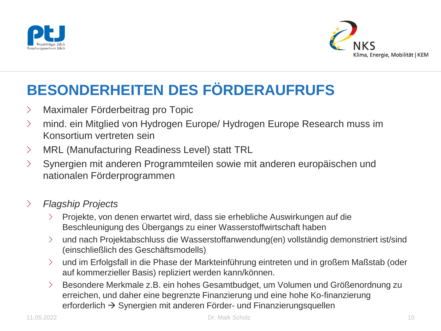



# **BESONDERHEITEN DES FÖRDERAUFRUFS**

- › Maximaler Förderbeitrag pro Topic
- › mind. ein Mitglied von Hydrogen Europe/ Hydrogen Europe Research muss im Konsortium vertreten sein
- › MRL (Manufacturing Readiness Level) statt TRL
- › Synergien mit anderen Programmteilen sowie mit anderen europäischen und nationalen Förderprogrammen

#### › *Flagship Projects*

- › Projekte, von denen erwartet wird, dass sie erhebliche Auswirkungen auf die Beschleunigung des Übergangs zu einer Wasserstoffwirtschaft haben
- › und nach Projektabschluss die Wasserstoffanwendung(en) vollständig demonstriert ist/sind (einschließlich des Geschäftsmodells)
- › und im Erfolgsfall in die Phase der Markteinführung eintreten und in großem Maßstab (oder auf kommerzieller Basis) repliziert werden kann/können.
- › Besondere Merkmale z.B. ein hohes Gesamtbudget, um Volumen und Größenordnung zu erreichen, und daher eine begrenzte Finanzierung und eine hohe Ko-finanzierung erforderlich  $\rightarrow$  Synergien mit anderen Förder- und Finanzierungsquellen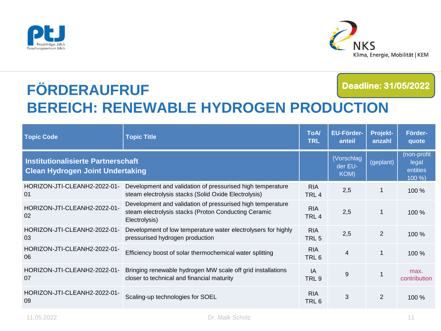



#### **FÖRDERAUFRUF BEREICH: RENEWABLE HYDROGEN PRODUCTION Deadline: 31/05/2022**

| <b>Topic Code</b>                                                                    | <b>Topic Title</b>                                                                                                                  | <b>ToA/</b><br><b>TRL</b>      | <b>EU-Förder-</b><br>anteil   | Projekt-<br>anzahl | Förder-<br>quote                           |
|--------------------------------------------------------------------------------------|-------------------------------------------------------------------------------------------------------------------------------------|--------------------------------|-------------------------------|--------------------|--------------------------------------------|
| <b>Institutionalisierte Partnerschaft</b><br><b>Clean Hydrogen Joint Undertaking</b> |                                                                                                                                     |                                | (Vorschlag<br>der EU-<br>KOM) | (geplant)          | (non-profit<br>legal<br>entities<br>100 %) |
| HORIZON-JTI-CLEANH2-2022-01-<br>01                                                   | Development and validation of pressurised high temperature<br>steam electrolysis stacks (Solid Oxide Electrolysis)                  | <b>RIA</b><br>TRL <sub>4</sub> | 2,5                           | 1                  | 100 %                                      |
| HORIZON-JTI-CLEANH2-2022-01-<br>02                                                   | Development and validation of pressurised high temperature<br>steam electrolysis stacks (Proton Conducting Ceramic<br>Electrolysis) | <b>RIA</b><br>TRL <sub>4</sub> | 2,5                           | 1                  | $100\%$                                    |
| HORIZON-JTI-CLEANH2-2022-01-<br>03                                                   | Development of low temperature water electrolysers for highly<br>pressurised hydrogen production                                    | <b>RIA</b><br>TRL <sub>5</sub> | 2,5                           | 2                  | 100 %                                      |
| HORIZON-JTI-CLEANH2-2022-01-<br>06                                                   | Efficiency boost of solar thermochemical water splitting                                                                            | <b>RIA</b><br>TRL <sub>6</sub> | $\overline{4}$                | 1                  | 100 %                                      |
| HORIZON-JTI-CLEANH2-2022-01-<br>07                                                   | Bringing renewable hydrogen MW scale off grid installations<br>closer to technical and financial maturity                           | IA<br>TRL <sub>9</sub>         | 9                             |                    | max.<br>contribution                       |
| HORIZON-JTI-CLEANH2-2022-01-<br>09                                                   | Scaling-up technologies for SOEL                                                                                                    | <b>RIA</b><br>TRL 6            | 3                             | $\overline{2}$     | 100%                                       |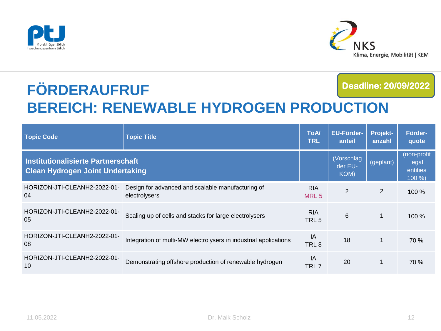



#### **FÖRDERAUFRUF BEREICH: RENEWABLE HYDROGEN PRODUCTION Deadline: 20/09/2022**

| <b>Topic Code</b>                                                                    | <b>Topic Title</b>                                                 | <b>ToA/</b><br><b>TRL</b>      | <b>EU-Förder-</b><br>anteil   | Projekt-<br>anzahl | Förder-<br>quote                           |
|--------------------------------------------------------------------------------------|--------------------------------------------------------------------|--------------------------------|-------------------------------|--------------------|--------------------------------------------|
| <b>Institutionalisierte Partnerschaft</b><br><b>Clean Hydrogen Joint Undertaking</b> |                                                                    |                                | (Vorschlag<br>der EU-<br>KOM) | (geplant)          | (non-profit<br>legal<br>entities<br>100 %) |
| HORIZON-JTI-CLEANH2-2022-01-<br>04                                                   | Design for advanced and scalable manufacturing of<br>electrolysers | <b>RIA</b><br>MRL <sub>5</sub> | $\overline{2}$                | $\overline{2}$     | $100\%$                                    |
| HORIZON-JTI-CLEANH2-2022-01-<br>0 <sub>5</sub>                                       | Scaling up of cells and stacks for large electrolysers             | <b>RIA</b><br>TRL <sub>5</sub> | 6                             | $\overline{1}$     | 100%                                       |
| HORIZON-JTI-CLEANH2-2022-01-<br>08                                                   | Integration of multi-MW electrolysers in industrial applications   | ΙA<br>TRL <sub>8</sub>         | 18                            | $\overline{1}$     | 70 %                                       |
| HORIZON-JTI-CLEANH2-2022-01-<br>10                                                   | Demonstrating offshore production of renewable hydrogen            | IA<br>TRL 7                    | 20                            | $\mathbf{1}$       | 70 %                                       |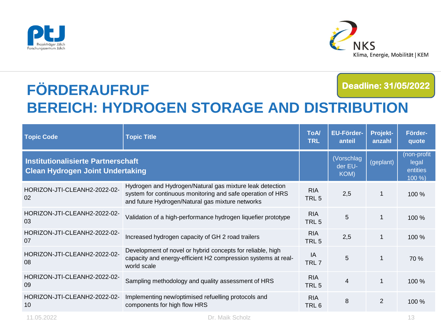



#### **FÖRDERAUFRUF BEREICH: HYDROGEN STORAGE AND DISTRIBUTION Deadline: 31/05/2022**

| <b>Topic Code</b>                                                                    | <b>Topic Title</b>                                                                                                                                                         | <b>ToA/</b><br><b>TRL</b>      | <b>EU-Förder-</b><br>anteil   | <b>Projekt-</b><br>anzahl | Förder-<br>quote                           |
|--------------------------------------------------------------------------------------|----------------------------------------------------------------------------------------------------------------------------------------------------------------------------|--------------------------------|-------------------------------|---------------------------|--------------------------------------------|
| <b>Institutionalisierte Partnerschaft</b><br><b>Clean Hydrogen Joint Undertaking</b> |                                                                                                                                                                            |                                | (Vorschlag<br>der EU-<br>KOM) | (geplant)                 | (non-profit<br>legal<br>entities<br>100 %) |
| HORIZON-JTI-CLEANH2-2022-02-<br>02                                                   | Hydrogen and Hydrogen/Natural gas mixture leak detection<br>system for continuous monitoring and safe operation of HRS<br>and future Hydrogen/Natural gas mixture networks | <b>RIA</b><br>TRL <sub>5</sub> | 2,5                           | $\mathbf{1}$              | 100 %                                      |
| HORIZON-JTI-CLEANH2-2022-02-<br>03                                                   | Validation of a high-performance hydrogen liquefier prototype                                                                                                              | <b>RIA</b><br>TRL <sub>5</sub> | 5                             | 1                         | 100 %                                      |
| HORIZON-JTI-CLEANH2-2022-02-<br>07                                                   | Increased hydrogen capacity of GH 2 road trailers                                                                                                                          | <b>RIA</b><br>TRL <sub>5</sub> | 2,5                           | 1                         | 100 %                                      |
| HORIZON-JTI-CLEANH2-2022-02-<br>08                                                   | Development of novel or hybrid concepts for reliable, high<br>capacity and energy-efficient H2 compression systems at real-<br>world scale                                 | IA<br>TRL <sub>7</sub>         | 5                             | 1                         | 70 %                                       |
| HORIZON-JTI-CLEANH2-2022-02-<br>09                                                   | Sampling methodology and quality assessment of HRS                                                                                                                         | <b>RIA</b><br>TRL <sub>5</sub> | 4                             | $\mathbf{1}$              | 100%                                       |
| HORIZON-JTI-CLEANH2-2022-02-<br>10                                                   | Implementing new/optimised refuelling protocols and<br>components for high flow HRS                                                                                        | <b>RIA</b><br>TRL <sub>6</sub> | 8                             | 2                         | 100 %                                      |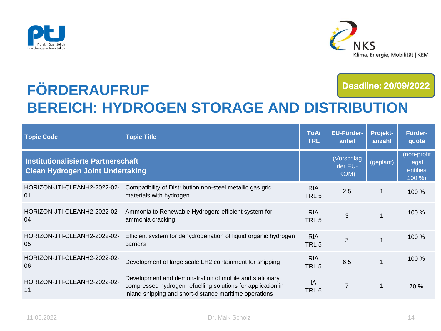



#### **FÖRDERAUFRUF BEREICH: HYDROGEN STORAGE AND DISTRIBUTION Deadline: 20/09/2022**

| <b>Topic Code</b>                                                                    | <b>Topic Title</b>                                                                                                                                                              | <b>ToA/</b><br><b>TRL</b>      | <b>EU-Förder-</b><br>anteil   | Projekt-<br>anzahl | Förder-<br>quote                           |
|--------------------------------------------------------------------------------------|---------------------------------------------------------------------------------------------------------------------------------------------------------------------------------|--------------------------------|-------------------------------|--------------------|--------------------------------------------|
| <b>Institutionalisierte Partnerschaft</b><br><b>Clean Hydrogen Joint Undertaking</b> |                                                                                                                                                                                 |                                | (Vorschlag<br>der EU-<br>KOM) | (geplant)          | (non-profit<br>legal<br>entities<br>100 %) |
| HORIZON-JTI-CLEANH2-2022-02-<br>01                                                   | Compatibility of Distribution non-steel metallic gas grid<br>materials with hydrogen                                                                                            | <b>RIA</b><br>TRL <sub>5</sub> | 2,5                           | $\mathbf 1$        | $100\%$                                    |
| HORIZON-JTI-CLEANH2-2022-02-<br>04                                                   | Ammonia to Renewable Hydrogen: efficient system for<br>ammonia cracking                                                                                                         | <b>RIA</b><br>TRL 5            | 3                             |                    | 100%                                       |
| HORIZON-JTI-CLEANH2-2022-02-<br>05                                                   | Efficient system for dehydrogenation of liquid organic hydrogen<br>carriers                                                                                                     | <b>RIA</b><br>TRL <sub>5</sub> | 3                             |                    | 100%                                       |
| HORIZON-JTI-CLEANH2-2022-02-<br>06                                                   | Development of large scale LH2 containment for shipping                                                                                                                         | <b>RIA</b><br>TRL <sub>5</sub> | 6,5                           |                    | 100 %                                      |
| HORIZON-JTI-CLEANH2-2022-02-<br>11                                                   | Development and demonstration of mobile and stationary<br>compressed hydrogen refuelling solutions for application in<br>inland shipping and short-distance maritime operations | IA<br>TRL 6                    | 7                             | 1                  | 70 %                                       |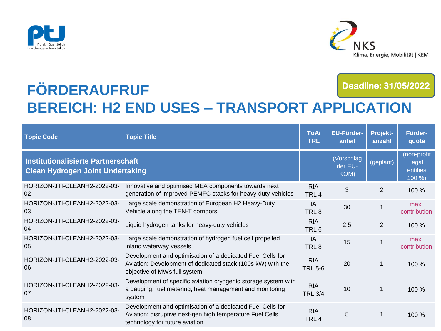



#### **FÖRDERAUFRUF BEREICH: H2 END USES – TRANSPORT APPLICATION Deadline: 31/05/2022**

| <b>Topic Code</b>                                                                    | <b>Topic Title</b>                                                                                                                                        | <b>ToA/</b><br><b>TRL</b>      | <b>EU-Förder-</b><br>anteil   | Projekt-<br>anzahl | Förder-<br>quote                           |
|--------------------------------------------------------------------------------------|-----------------------------------------------------------------------------------------------------------------------------------------------------------|--------------------------------|-------------------------------|--------------------|--------------------------------------------|
| <b>Institutionalisierte Partnerschaft</b><br><b>Clean Hydrogen Joint Undertaking</b> |                                                                                                                                                           |                                | (Vorschlag<br>der EU-<br>KOM) | (geplant)          | (non-profit<br>legal<br>entities<br>100 %) |
| HORIZON-JTI-CLEANH2-2022-03-<br>02                                                   | Innovative and optimised MEA components towards next<br>generation of improved PEMFC stacks for heavy-duty vehicles                                       | <b>RIA</b><br>TRL <sub>4</sub> | 3                             | $\overline{2}$     | 100 %                                      |
| HORIZON-JTI-CLEANH2-2022-03-<br>03                                                   | Large scale demonstration of European H2 Heavy-Duty<br>Vehicle along the TEN-T corridors                                                                  | IA<br>TRL <sub>8</sub>         | 30                            | 1                  | max.<br>contribution                       |
| HORIZON-JTI-CLEANH2-2022-03-<br>04                                                   | Liquid hydrogen tanks for heavy-duty vehicles                                                                                                             | <b>RIA</b><br>TRL <sub>6</sub> | 2,5                           | 2                  | 100 %                                      |
| HORIZON-JTI-CLEANH2-2022-03-<br>05                                                   | Large scale demonstration of hydrogen fuel cell propelled<br>inland waterway vessels                                                                      | IA<br>TRL <sub>8</sub>         | 15                            | 1                  | max.<br>contribution                       |
| HORIZON-JTI-CLEANH2-2022-03-<br>06                                                   | Development and optimisation of a dedicated Fuel Cells for<br>Aviation: Development of dedicated stack (100s kW) with the<br>objective of MWs full system | <b>RIA</b><br><b>TRL 5-6</b>   | 20                            |                    | 100%                                       |
| HORIZON-JTI-CLEANH2-2022-03-<br>07                                                   | Development of specific aviation cryogenic storage system with<br>a gauging, fuel metering, heat management and monitoring<br>system                      | <b>RIA</b><br><b>TRL 3/4</b>   | 10                            | 1                  | 100 %                                      |
| HORIZON-JTI-CLEANH2-2022-03-<br>08                                                   | Development and optimisation of a dedicated Fuel Cells for<br>Aviation: disruptive next-gen high temperature Fuel Cells<br>technology for future aviation | <b>RIA</b><br>TRL <sub>4</sub> | 5                             | $\mathbf 1$        | 100%                                       |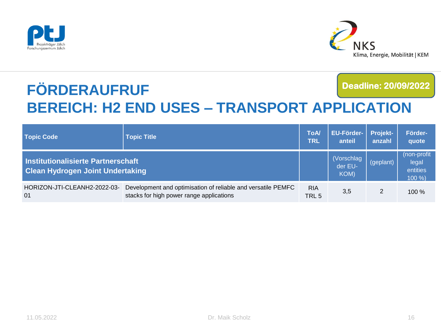



#### **FÖRDERAUFRUF BEREICH: H2 END USES – TRANSPORT APPLICATION Deadline: 20/09/2022**

| <b>Topic Code</b>                                                             | <b>Topic Title</b>                                                                                       | <b>ToA</b><br><b>TRL</b>       | <b>EU-Förder-</b><br>anteil   | <b>Projekt-</b><br>anzahl | Förder-<br>quote                            |
|-------------------------------------------------------------------------------|----------------------------------------------------------------------------------------------------------|--------------------------------|-------------------------------|---------------------------|---------------------------------------------|
| Institutionalisierte Partnerschaft<br><b>Clean Hydrogen Joint Undertaking</b> |                                                                                                          |                                | (Vorschlag<br>der EU-<br>KOM) | (geplant)                 | (non-profit<br>legal<br>entities<br>$100\%$ |
| HORIZON-JTI-CLEANH2-2022-03-<br>01                                            | Development and optimisation of reliable and versatile PEMFC<br>stacks for high power range applications | <b>RIA</b><br>TRL <sub>5</sub> | 3,5                           | 2                         | $100\%$                                     |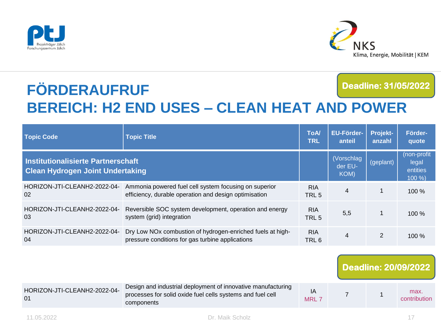



#### **FÖRDERAUFRUF BEREICH: H2 END USES – CLEAN HEAT AND POWER Deadline: 31/05/2022**

| <b>Topic Code</b>                                                             | <b>Topic Title</b>                                                                                             | <b>ToA/</b><br><b>TRL</b>      | <b>EU-Förder-</b><br>anteil   | <b>Projekt-</b><br>anzahl | Förder-<br>quote                            |
|-------------------------------------------------------------------------------|----------------------------------------------------------------------------------------------------------------|--------------------------------|-------------------------------|---------------------------|---------------------------------------------|
| Institutionalisierte Partnerschaft<br><b>Clean Hydrogen Joint Undertaking</b> |                                                                                                                |                                | (Vorschlag<br>der EU-<br>KOM) | (geplant)                 | (non-profit<br>legal<br>entities<br>$100\%$ |
| HORIZON-JTI-CLEANH2-2022-04-<br>02                                            | Ammonia powered fuel cell system focusing on superior<br>efficiency, durable operation and design optimisation | <b>RIA</b><br>TRL 5            | $\overline{4}$                |                           | $100\%$                                     |
| HORIZON-JTI-CLEANH2-2022-04-<br>03                                            | Reversible SOC system development, operation and energy<br>system (grid) integration                           | <b>RIA</b><br>TRL <sub>5</sub> | 5,5                           |                           | $100\%$                                     |
| HORIZON-JTI-CLEANH2-2022-04-<br>04                                            | Dry Low NOx combustion of hydrogen-enriched fuels at high-<br>pressure conditions for gas turbine applications | <b>RIA</b><br>TRL 6            | $\overline{4}$                | 2                         | $100\%$                                     |

#### HORIZON-JTI-CLEANH2-2022-04- 01 Design and industrial deployment of innovative manufacturing processes for solid oxide fuel cells systems and fuel cell components IA MRI<sub>7</sub> 7 1 max. contribution **Deadline: 20/09/2022**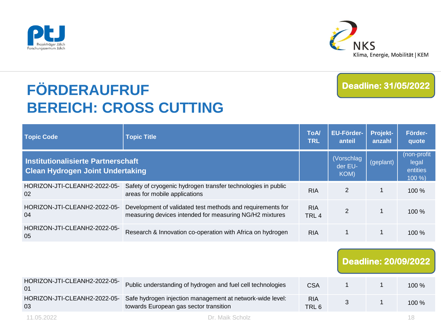



# **FÖRDERAUFRUF BEREICH: CROSS CUTTING**

#### **Deadline: 31/05/2022**

| <b>Topic Code</b>                                                                    | <b>Topic Title</b>                                                                                                    | <b>ToA/</b><br><b>TRL</b>      | <b>EU-Förder-</b><br>anteil   | Projekt-<br>anzahl | Förder-<br>quote                            |
|--------------------------------------------------------------------------------------|-----------------------------------------------------------------------------------------------------------------------|--------------------------------|-------------------------------|--------------------|---------------------------------------------|
| <b>Institutionalisierte Partnerschaft</b><br><b>Clean Hydrogen Joint Undertaking</b> |                                                                                                                       |                                | (Vorschlag<br>der EU-<br>KOM) | (geplant)          | (non-profit<br>legal<br>entities<br>$100\%$ |
| HORIZON-JTI-CLEANH2-2022-05-<br>02                                                   | Safety of cryogenic hydrogen transfer technologies in public<br>areas for mobile applications                         | <b>RIA</b>                     | 2                             | 1                  | 100 %                                       |
| HORIZON-JTI-CLEANH2-2022-05-<br>04                                                   | Development of validated test methods and requirements for<br>measuring devices intended for measuring NG/H2 mixtures | <b>RIA</b><br>TRL <sub>4</sub> | $\overline{2}$                | 1                  | 100 %                                       |
| HORIZON-JTI-CLEANH2-2022-05-<br>05                                                   | Research & Innovation co-operation with Africa on hydrogen                                                            | <b>RIA</b>                     | 1                             | 1                  | 100 %                                       |
|                                                                                      |                                                                                                                       |                                |                               |                    | <b>Deadline: 20/09/2022</b>                 |
| HORIZON-JTI-CLEANH2-2022-05-<br>01                                                   | Public understanding of hydrogen and fuel cell technologies                                                           | <b>CSA</b>                     |                               | 1                  | 100 %                                       |
| HORIZON-JTI-CLEANH2-2022-05-<br>03                                                   | Safe hydrogen injection management at network-wide level:<br>towards European gas sector transition                   | <b>RIA</b><br>TRL 6            | 3                             | 1                  | 100 %                                       |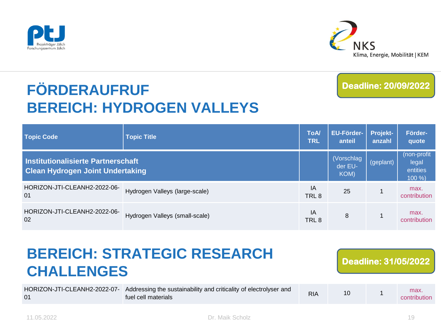



# **FÖRDERAUFRUF BEREICH: HYDROGEN VALLEYS**

**Deadline: 20/09/2022**

| <b>Topic Code</b>                                                             | Topic Title                    | <b>ToA/</b><br><b>TRL</b> | <b>EU-Förder-</b><br>anteil   | Projekt-<br>anzahl | Förder-<br>quote                            |
|-------------------------------------------------------------------------------|--------------------------------|---------------------------|-------------------------------|--------------------|---------------------------------------------|
| Institutionalisierte Partnerschaft<br><b>Clean Hydrogen Joint Undertaking</b> |                                |                           | (Vorschlag<br>der EU-<br>KOM) | (geplant)          | (non-profit<br>legal<br>entities<br>$100\%$ |
| HORIZON-JTI-CLEANH2-2022-06-<br>01                                            | Hydrogen Valleys (large-scale) | IA<br>TRL <sub>8</sub>    | 25                            |                    | max.<br>contribution                        |
| HORIZON-JTI-CLEANH2-2022-06-<br>02                                            | Hydrogen Valleys (small-scale) | ΙA<br>TRL <sub>8</sub>    | 8                             |                    | max.<br>contribution                        |

| <b>CHALLENGES</b>                  | <b>BEREICH: STRATEGIC RESEARCH</b>                                                       |            |    | <b>Deadline: 31/05/2022</b> |
|------------------------------------|------------------------------------------------------------------------------------------|------------|----|-----------------------------|
| HORIZON-JTI-CLEANH2-2022-07-<br>01 | Addressing the sustainability and criticality of electrolyser and<br>fuel cell materials | <b>RIA</b> | 10 | max.<br>contribution        |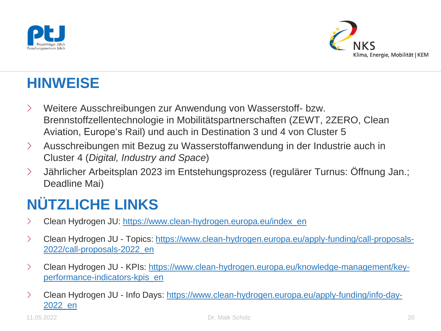



## **HINWEISE**

- › Weitere Ausschreibungen zur Anwendung von Wasserstoff- bzw. Brennstoffzellentechnologie in Mobilitätspartnerschaften (ZEWT, 2ZERO, Clean Aviation, Europe's Rail) und auch in Destination 3 und 4 von Cluster 5
- › Ausschreibungen mit Bezug zu Wasserstoffanwendung in der Industrie auch in Cluster 4 (*Digital, Industry and Space*)
- › Jährlicher Arbeitsplan 2023 im Entstehungsprozess (regulärer Turnus: Öffnung Jan.; Deadline Mai)

# **NÜTZLICHE LINKS**

- > Clean Hydrogen JU: [https://www.clean-hydrogen.europa.eu/index\\_en](https://www.clean-hydrogen.europa.eu/index_en)
- › Clean Hydrogen JU [Topics: https://www.clean-hydrogen.europa.eu/apply-funding/call-proposals-](https://www.clean-hydrogen.europa.eu/apply-funding/call-proposals-2022/call-proposals-2022_en)2022/call-proposals-2022\_en
- › Clean Hydrogen JU [KPIs: https://www.clean-hydrogen.europa.eu/knowledge-management/key](https://www.clean-hydrogen.europa.eu/knowledge-management/key-performance-indicators-kpis_en)performance-indicators-kpis\_en
- › Clean Hydrogen JU [Info Days: https://www.clean-hydrogen.europa.eu/apply-funding/info-day-](https://www.clean-hydrogen.europa.eu/apply-funding/info-day-2022_en)2022\_en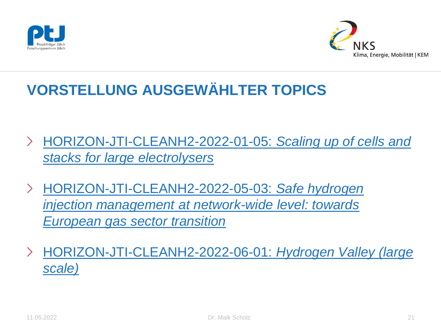



# **VORSTELLUNG AUSGEWÄHLTER TOPICS**

- › [HORIZON-JTI-CLEANH2-2022-01-05:](https://ec.europa.eu/info/funding-tenders/opportunities/portal/screen/opportunities/topic-details/horizon-jti-cleanh2-2022-01-05;callCode=null;freeTextSearchKeyword=Scaling%20up%20of%20cells%20and%20stacks%20for%20large%20electrolysers;matchWholeText=true;typeCodes=1,0;statusCodes=31094501,31094502,31094503;programmePeriod=2021%20-%202027;programCcm2Id=43108390;programDivisionCode=null;focusAreaCode=null;destination=null;mission=null;geographicalZonesCode=null;programmeDivisionProspect=null;startDateLte=null;startDateGte=null;crossCuttingPriorityCode=null;cpvCode=null;performanceOfDelivery=null;sortQuery=sortStatus;orderBy=asc;onlyTenders=false;topicListKey=topicSearchTablePageState) *Scaling up of cells and stacks for large electrolysers*
- › HORIZON-JTI-CLEANH2-2022-05-03: *Safe hydrogen [injection management at network-wide level: towards](https://ec.europa.eu/info/funding-tenders/opportunities/portal/screen/opportunities/topic-details/horizon-jti-cleanh2-2022-05-03;callCode=null;freeTextSearchKeyword=Safe%20hydrogen%20injection%20management%20at%20network-wide%20level;matchWholeText=true;typeCodes=1,0;statusCodes=31094501,31094502,31094503;programmePeriod=2021%20-%202027;programCcm2Id=43108390;programDivisionCode=null;focusAreaCode=null;destination=null;mission=null;geographicalZonesCode=null;programmeDivisionProspect=null;startDateLte=null;startDateGte=null;crossCuttingPriorityCode=null;cpvCode=null;performanceOfDelivery=null;sortQuery=sortStatus;orderBy=asc;onlyTenders=false;topicListKey=topicSearchTablePageState)  European gas sector transition*
- › [HORIZON-JTI-CLEANH2-2022-06-01:](https://ec.europa.eu/info/funding-tenders/opportunities/portal/screen/opportunities/topic-details/horizon-jti-cleanh2-2022-06-01;callCode=null;freeTextSearchKeyword=Hydrogen%20Valley;matchWholeText=true;typeCodes=1,0;statusCodes=31094501,31094502,31094503;programmePeriod=2021%20-%202027;programCcm2Id=43108390;programDivisionCode=null;focusAreaCode=null;destination=null;mission=null;geographicalZonesCode=null;programmeDivisionProspect=null;startDateLte=null;startDateGte=null;crossCuttingPriorityCode=null;cpvCode=null;performanceOfDelivery=null;sortQuery=sortStatus;orderBy=asc;onlyTenders=false;topicListKey=topicSearchTablePageState) *Hydrogen Valley (large scale)*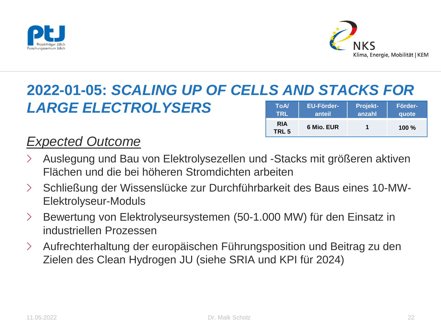



**6 Mio. EUR 1 100 %**

#### **2022-01-05:** *SCALING UP OF CELLS AND STACKS FOR LARGE ELECTROLYSERS* **ToA/ TRL EU-Förderanteil Projektanzahl Förderquote**

**RIA TRL 5**

### *Expected Outcome*

- › Auslegung und Bau von Elektrolysezellen und -Stacks mit größeren aktiven Flächen und die bei höheren Stromdichten arbeiten
- › Schließung der Wissenslücke zur Durchführbarkeit des Baus eines 10-MW-Elektrolyseur-Moduls
- › Bewertung von Elektrolyseursystemen (50-1.000 MW) für den Einsatz in industriellen Prozessen
- › Aufrechterhaltung der europäischen Führungsposition und Beitrag zu den Zielen des Clean Hydrogen JU (siehe SRIA und KPI für 2024)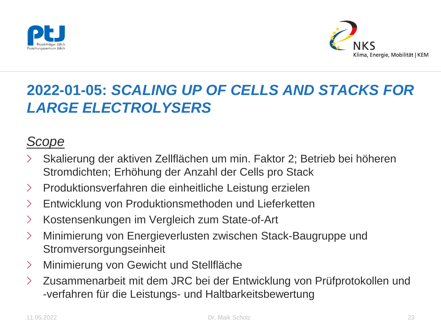



# **2022-01-05:** *SCALING UP OF CELLS AND STACKS FOR LARGE ELECTROLYSERS*

### *Scope*

- › Skalierung der aktiven Zellflächen um min. Faktor 2; Betrieb bei höheren Stromdichten; Erhöhung der Anzahl der Cells pro Stack
- › Produktionsverfahren die einheitliche Leistung erzielen
- › Entwicklung von Produktionsmethoden und Lieferketten
- › Kostensenkungen im Vergleich zum State-of-Art
- › Minimierung von Energieverlusten zwischen Stack-Baugruppe und **Stromversorgungseinheit**
- › Minimierung von Gewicht und Stellfläche
- › Zusammenarbeit mit dem JRC bei der Entwicklung von Prüfprotokollen und -verfahren für die Leistungs- und Haltbarkeitsbewertung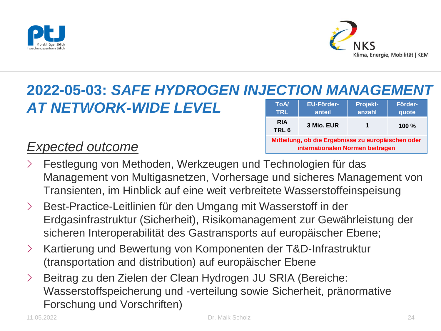



# **2022-05-03: SAFE HYDROGEN INJECTION MANAGEMENT**

### *AT NETWORK-WIDE LEVEL*

| <b>ToA</b><br><b>TRL</b>                                                               | EU-Förder-<br>anteil | Projekt-<br>anzahl | Förder-<br>quote |  |  |
|----------------------------------------------------------------------------------------|----------------------|--------------------|------------------|--|--|
| <b>RIA</b><br>TRL <sub>6</sub>                                                         | 3 Mio. EUR           | 1                  | $100 \%$         |  |  |
| Mitteilung, ob die Ergebnisse zu europäischen oder<br>internationalen Normen beitragen |                      |                    |                  |  |  |

### *Expected outcome*

- Festlegung von Methoden, Werkzeugen und Technologien für das Management von Multigasnetzen, Vorhersage und sicheres Management von Transienten, im Hinblick auf eine weit verbreitete Wasserstoffeinspeisung
- › Best-Practice-Leitlinien für den Umgang mit Wasserstoff in der Erdgasinfrastruktur (Sicherheit), Risikomanagement zur Gewährleistung der sicheren Interoperabilität des Gastransports auf europäischer Ebene;
- › Kartierung und Bewertung von Komponenten der T&D-Infrastruktur (transportation and distribution) auf europäischer Ebene
- › Beitrag zu den Zielen der Clean Hydrogen JU SRIA (Bereiche: Wasserstoffspeicherung und -verteilung sowie Sicherheit, pränormative Forschung und Vorschriften)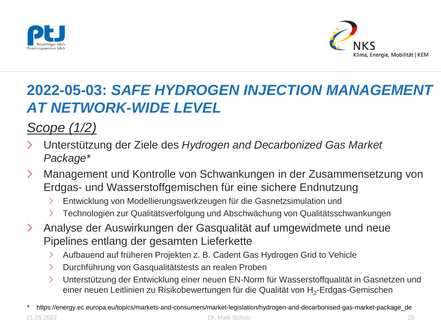



# **2022-05-03:** *SAFE HYDROGEN INJECTION MANAGEMENT AT NETWORK-WIDE LEVEL*

*Scope (1/2)* 

- › Unterstützung der Ziele des *Hydrogen and Decarbonized Gas Market Package\**
- › Management und Kontrolle von Schwankungen in der Zusammensetzung von Erdgas- und Wasserstoffgemischen für eine sichere Endnutzung
	- › Entwicklung von Modellierungswerkzeugen für die Gasnetzsimulation und
	- › Technologien zur Qualitätsverfolgung und Abschwächung von Qualitätsschwankungen
- › Analyse der Auswirkungen der Gasqualität auf umgewidmete und neue Pipelines entlang der gesamten Lieferkette
	- › Aufbauend auf früheren Projekten z. B. Cadent Gas Hydrogen Grid to Vehicle
	- › Durchführung von Gasqualitätstests an realen Proben
	- › Unterstützung der Entwicklung einer neuen EN-Norm für Wasserstoffqualität in Gasnetzen und einer neuen Leitlinien zu Risikobewertungen für die Qualität von H $_2$ -Erdgas-Gemischen

<sup>\*</sup> https://energy.ec.europa.eu/topics/markets-and-consumers/market-legislation/hydrogen-and-decarbonised-gas-market-package\_de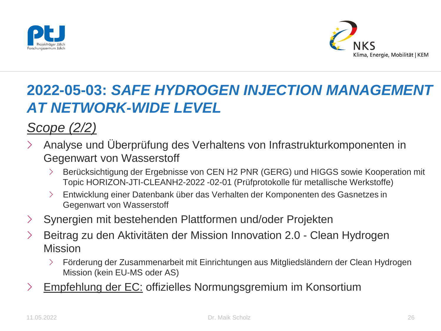



# **2022-05-03:** *SAFE HYDROGEN INJECTION MANAGEMENT AT NETWORK-WIDE LEVEL*

*Scope (2/2)*

- › Analyse und Überprüfung des Verhaltens von Infrastrukturkomponenten in Gegenwart von Wasserstoff
	- › Berücksichtigung der Ergebnisse von CEN H2 PNR (GERG) und HIGGS sowie Kooperation mit Topic HORIZON-JTI-CLEANH2-2022 -02-01 (Prüfprotokolle für metallische Werkstoffe)
	- › Entwicklung einer Datenbank über das Verhalten der Komponenten des Gasnetzes in Gegenwart von Wasserstoff
- › Synergien mit bestehenden Plattformen und/oder Projekten
- › Beitrag zu den Aktivitäten der Mission Innovation 2.0 Clean Hydrogen Mission
	- › Förderung der Zusammenarbeit mit Einrichtungen aus Mitgliedsländern der Clean Hydrogen Mission (kein EU-MS oder AS)
- > Empfehlung der EC: offizielles Normungsgremium im Konsortium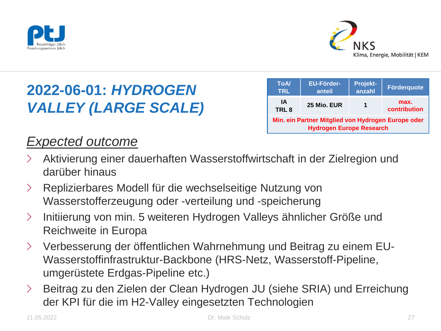



| <b>ToA/</b><br><b>TRL</b>                                                             | <b>EU-Förder-</b><br>anteil | Projekt-<br>anzahl | <b>Förderquote</b>   |  |  |
|---------------------------------------------------------------------------------------|-----------------------------|--------------------|----------------------|--|--|
| IA<br>TRL <sub>8</sub>                                                                | 25 Mio. EUR                 |                    | max.<br>contribution |  |  |
| Min. ein Partner Mitglied von Hydrogen Europe oder<br><b>Hydrogen Europe Research</b> |                             |                    |                      |  |  |

### *Expected outcome*

- › Aktivierung einer dauerhaften Wasserstoffwirtschaft in der Zielregion und darüber hinaus
- › Replizierbares Modell für die wechselseitige Nutzung von Wasserstofferzeugung oder -verteilung und -speicherung
- › Initiierung von min. 5 weiteren Hydrogen Valleys ähnlicher Größe und Reichweite in Europa
- › Verbesserung der öffentlichen Wahrnehmung und Beitrag zu einem EU-Wasserstoffinfrastruktur-Backbone (HRS-Netz, Wasserstoff-Pipeline, umgerüstete Erdgas-Pipeline etc.)
- › Beitrag zu den Zielen der Clean Hydrogen JU (siehe SRIA) und Erreichung der KPI für die im H2-Valley eingesetzten Technologien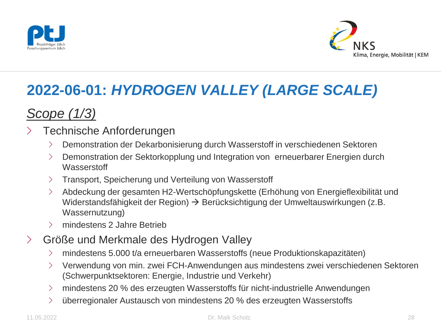



### *Scope (1/3)*

- Technische Anforderungen
	- › Demonstration der Dekarbonisierung durch Wasserstoff in verschiedenen Sektoren
	- › Demonstration der Sektorkopplung und Integration von erneuerbarer Energien durch **Wasserstoff**
	- › Transport, Speicherung und Verteilung von Wasserstoff
	- › Abdeckung der gesamten H2-Wertschöpfungskette (Erhöhung von Energieflexibilität und Widerstandsfähigkeit der Region)  $\rightarrow$  Berücksichtigung der Umweltauswirkungen (z.B. Wassernutzung)
	- › mindestens 2 Jahre Betrieb
- › Größe und Merkmale des Hydrogen Valley
	- › mindestens 5.000 t/a erneuerbaren Wasserstoffs (neue Produktionskapazitäten)
	- › Verwendung von min. zwei FCH-Anwendungen aus mindestens zwei verschiedenen Sektoren (Schwerpunktsektoren: Energie, Industrie und Verkehr)
	- › mindestens 20 % des erzeugten Wasserstoffs für nicht-industrielle Anwendungen
	- $\geq$  überregionaler Austausch von mindestens 20 % des erzeugten Wasserstoffs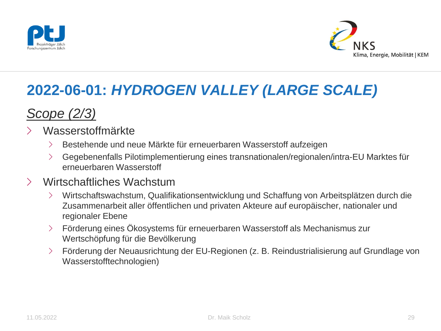



### *Scope (2/3)*

#### › Wasserstoffmärkte

- › Bestehende und neue Märkte für erneuerbaren Wasserstoff aufzeigen
- › Gegebenenfalls Pilotimplementierung eines transnationalen/regionalen/intra-EU Marktes für erneuerbaren Wasserstoff

#### › Wirtschaftliches Wachstum

- › Wirtschaftswachstum, Qualifikationsentwicklung und Schaffung von Arbeitsplätzen durch die Zusammenarbeit aller öffentlichen und privaten Akteure auf europäischer, nationaler und regionaler Ebene
- › Förderung eines Ökosystems für erneuerbaren Wasserstoff als Mechanismus zur Wertschöpfung für die Bevölkerung
- › Förderung der Neuausrichtung der EU-Regionen (z. B. Reindustrialisierung auf Grundlage von Wasserstofftechnologien)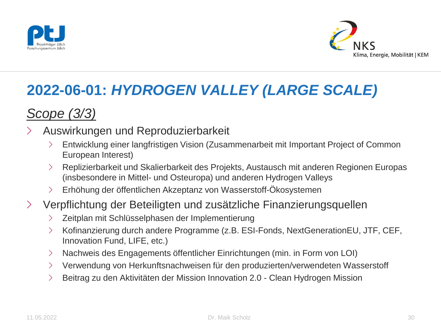



### *Scope (3/3)*

#### › Auswirkungen und Reproduzierbarkeit

- › Entwicklung einer langfristigen Vision (Zusammenarbeit mit Important Project of Common European Interest)
- › Replizierbarkeit und Skalierbarkeit des Projekts, Austausch mit anderen Regionen Europas (insbesondere in Mittel- und Osteuropa) und anderen Hydrogen Valleys
- › Erhöhung der öffentlichen Akzeptanz von Wasserstoff-Ökosystemen

#### › Verpflichtung der Beteiligten und zusätzliche Finanzierungsquellen

- › Zeitplan mit Schlüsselphasen der Implementierung
- › Kofinanzierung durch andere Programme (z.B. ESI-Fonds, NextGenerationEU, JTF, CEF, Innovation Fund, LIFE, etc.)
- › Nachweis des Engagements öffentlicher Einrichtungen (min. in Form von LOI)
- › Verwendung von Herkunftsnachweisen für den produzierten/verwendeten Wasserstoff
- › Beitrag zu den Aktivitäten der Mission Innovation 2.0 Clean Hydrogen Mission